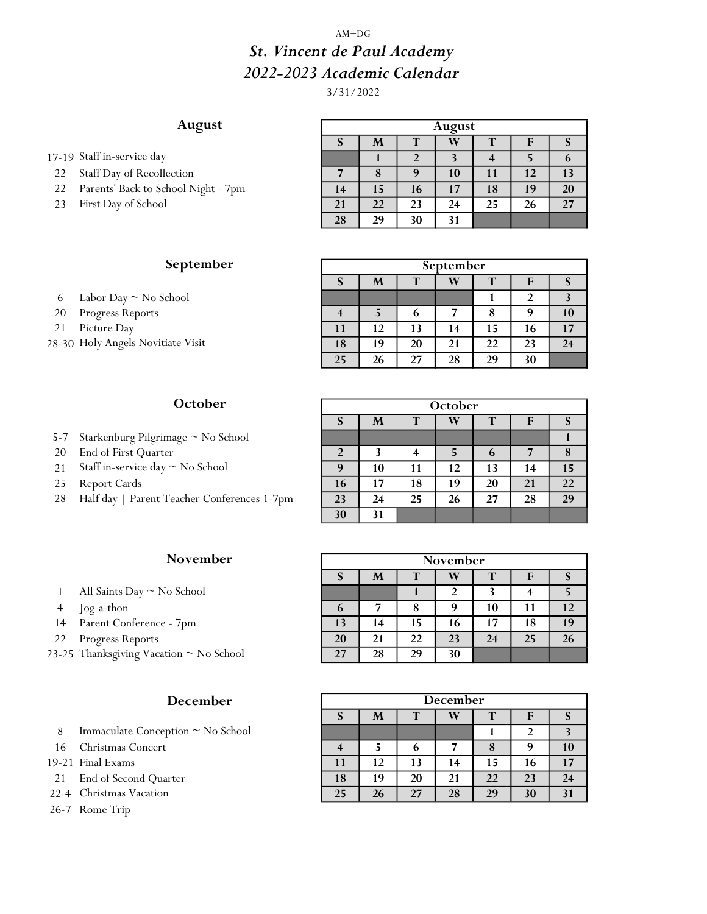#### AM+DG

# St. Vincent de Paul Academy 2022-2023 Academic Calendar

3/31/2022

# August

17-19 Staff in-service day

- 22 Staff Day of Recollection
- 22 Parents' Back to School Night 7pm
- 23 First Day of School

# September

- 6 Labor Day  $\sim$  No School
- 20 Progress Reports
- 21 Picture Day
- 28-30 Holy Angels Novitiate Visit

#### **October**

- 5-7 Starkenburg Pilgrimage ~ No School
- 20 End of First Quarter
- 21 Staff in-service day  $\sim$  No School
- 25 Report Cards
- 28 Half day | Parent Teacher Conferences 1-7pm

## November

- 1 All Saints Day  $\sim$  No School
- 
- 14 Parent Conference 7pm
- 22 Progress Reports
- 23-25 Thanksgiving Vacation  $\sim$  No School

# December

- 8 Immaculate Conception  $\sim$  No School
- 16 Christmas Concert
- 19-21 Final Exams
- 21 End of Second Quarter
- 22-4 Christmas Vacation
- 26-7 Rome Trip

| August |                       |    |    |    |    |    |  |  |  |  |
|--------|-----------------------|----|----|----|----|----|--|--|--|--|
| S      | W<br>M<br>T<br>т<br>F |    |    |    |    |    |  |  |  |  |
|        |                       |    |    |    |    | o  |  |  |  |  |
|        | 8                     | 9  | 10 | 11 | 12 | 13 |  |  |  |  |
| 14     | 15                    | 16 | 17 | 18 | 19 | 20 |  |  |  |  |
| 21     | 22                    | 23 | 24 | 25 | 26 | 27 |  |  |  |  |
| 28     | 29                    | 30 | 31 |    |    |    |  |  |  |  |

| September |    |    |    |    |    |    |  |  |  |  |
|-----------|----|----|----|----|----|----|--|--|--|--|
| S         | M  | т  | W  | т  |    |    |  |  |  |  |
|           |    |    |    |    |    |    |  |  |  |  |
|           |    | 6  |    | 8  |    | 10 |  |  |  |  |
| 11        | 12 | 13 | 14 | 15 | 16 | 17 |  |  |  |  |
| 18        | 19 | 20 | 21 | 22 | 23 | 24 |  |  |  |  |
| 25        | 26 | 27 | 28 | 29 | 30 |    |  |  |  |  |

| October |    |    |    |    |    |    |  |  |  |  |  |
|---------|----|----|----|----|----|----|--|--|--|--|--|
| S       | M  | т  | W  | T  | F  | S  |  |  |  |  |  |
|         |    |    |    |    |    |    |  |  |  |  |  |
| 2       | 3  |    | 5  | 6  |    |    |  |  |  |  |  |
| 9       | 10 | 11 | 12 | 13 | 14 | 15 |  |  |  |  |  |
| 16      | 17 | 18 | 19 | 20 | 21 | 22 |  |  |  |  |  |
| 23      | 24 | 25 | 26 | 27 | 28 | 29 |  |  |  |  |  |
| 30      | 31 |    |    |    |    |    |  |  |  |  |  |

|        | <b>November</b>                       |    |    |    | <b>November</b> |    |    |    |
|--------|---------------------------------------|----|----|----|-----------------|----|----|----|
|        |                                       |    | M  |    | W               |    |    |    |
|        | All Saints Day $\simeq$ No School     |    |    |    |                 |    |    |    |
| 4      | Jog-a-thon                            | 6  |    | 8  | 9               | 10 |    |    |
|        | 14 Parent Conference - 7pm            | 13 | 14 |    | 16              | 17 | 18 | 19 |
| $22 -$ | Progress Reports                      | 20 | 21 | 22 | 23              | 24 | 25 | 26 |
|        | -25 Thanksgiving Vacation ~ No School | 27 | 28 | 29 | 30              |    |    |    |

| <b>December</b> |    |             |    |    |    |    |  |  |  |  |
|-----------------|----|-------------|----|----|----|----|--|--|--|--|
| $\mathbf{C}$    | M  | T<br>т<br>F |    |    |    |    |  |  |  |  |
|                 |    |             |    |    |    |    |  |  |  |  |
|                 |    |             |    |    |    | 10 |  |  |  |  |
| 11              | 12 | 13          | 14 | 15 | 16 | 17 |  |  |  |  |
| 18              | 19 | 20          | 21 | 22 | 23 | 24 |  |  |  |  |
| 25              | 26 | 27          | 28 | 29 | 30 |    |  |  |  |  |